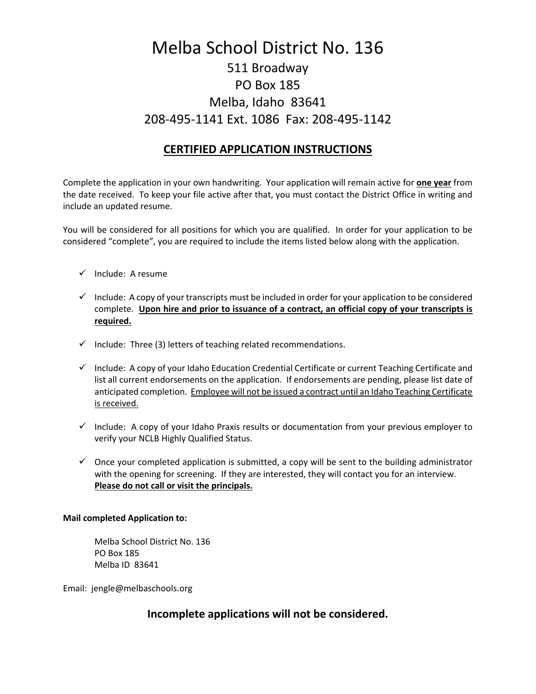## Melba School District No. 136 511 Broadway PO Box 185 Melba, Idaho 83641 208-495-1141 Ext. 1086 Fax: 208-495-1142

### **CERTIFIED APPLICATION INSTRUCTIONS**

Complete the application in your own handwriting. Your application will remain active for **one year** from the date received. To keep your file active after that, you must contact the District Office in writing and include an updated resume.

You will be considered for all positions for which you are qualified. In order for your application to be considered "complete", you are required to include the items listed below along with the application.

- $\checkmark$  Include: A resume
- $\checkmark$  Include: A copy of your transcripts must be included in order for your application to be considered complete. **Upon hire and prior to issuance of a contract, an official copy of your transcripts is required.**
- $\checkmark$  Include: Three (3) letters of teaching related recommendations.
- $\checkmark$  Include: A copy of your Idaho Education Credential Certificate or current Teaching Certificate and list all current endorsements on the application. If endorsements are pending, please list date of anticipated completion. Employee will not be issued a contract until an Idaho Teaching Certificate is received.
- $\checkmark$  Include: A copy of your Idaho Praxis results or documentation from your previous employer to verify your NCLB Highly Qualified Status.
- $\checkmark$  Once your completed application is submitted, a copy will be sent to the building administrator with the opening for screening. If they are interested, they will contact you for an interview. **Please do not call or visit the principals.**

### **Mail completed Application to:**

Melba School District No. 136 PO Box 185 Melba ID 83641

Email: jengle@melbaschools.org

### **Incomplete applications will not be considered.**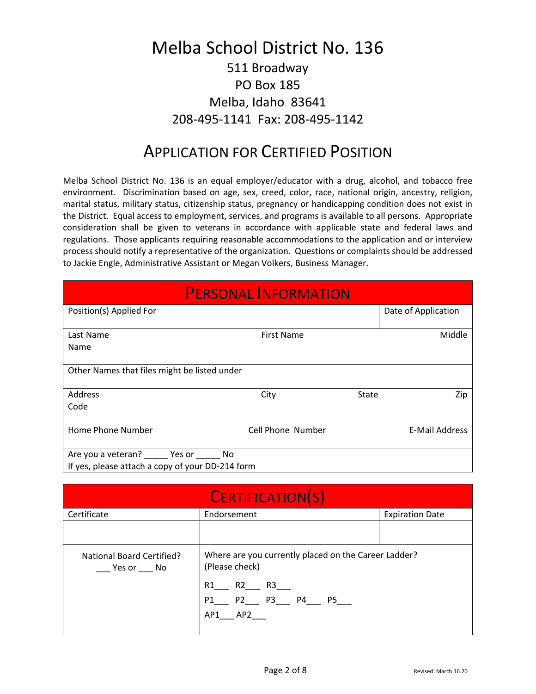## Melba School District No. 136 511 Broadway PO Box 185 Melba, Idaho 83641 208-495-1141 Fax: 208-495-1142

## APPLICATION FOR CERTIFIED POSITION

Melba School District No. 136 is an equal employer/educator with a drug, alcohol, and tobacco free environment. Discrimination based on age, sex, creed, color, race, national origin, ancestry, religion, marital status, military status, citizenship status, pregnancy or handicapping condition does not exist in the District. Equal access to employment, services, and programs is available to all persons. Appropriate consideration shall be given to veterans in accordance with applicable state and federal laws and regulations. Those applicants requiring reasonable accommodations to the application and or interview process should notify a representative of the organization. Questions or complaints should be addressed to Jackie Engle, Administrative Assistant or Megan Volkers, Business Manager.

| <b>PERSONAL INFORMATION</b>                                                                    |                   |       |                       |  |  |  |
|------------------------------------------------------------------------------------------------|-------------------|-------|-----------------------|--|--|--|
| Position(s) Applied For                                                                        |                   |       | Date of Application   |  |  |  |
| Last Name<br>Name                                                                              | <b>First Name</b> |       | Middle                |  |  |  |
| Other Names that files might be listed under                                                   |                   |       |                       |  |  |  |
| Address<br>Code                                                                                | City              | State | Zip                   |  |  |  |
| Home Phone Number                                                                              | Cell Phone Number |       | <b>E-Mail Address</b> |  |  |  |
| Are you a veteran? ______ Yes or ______ No<br>If yes, please attach a copy of your DD-214 form |                   |       |                       |  |  |  |

| <b>CERTIFICATION(S)</b>                |                                                                        |                        |  |  |  |  |
|----------------------------------------|------------------------------------------------------------------------|------------------------|--|--|--|--|
| Certificate                            | Endorsement                                                            | <b>Expiration Date</b> |  |  |  |  |
|                                        |                                                                        |                        |  |  |  |  |
| National Board Certified?<br>Yes or No | Where are you currently placed on the Career Ladder?<br>(Please check) |                        |  |  |  |  |
|                                        | R1 R2 R3                                                               |                        |  |  |  |  |
|                                        | AP1 AP2                                                                |                        |  |  |  |  |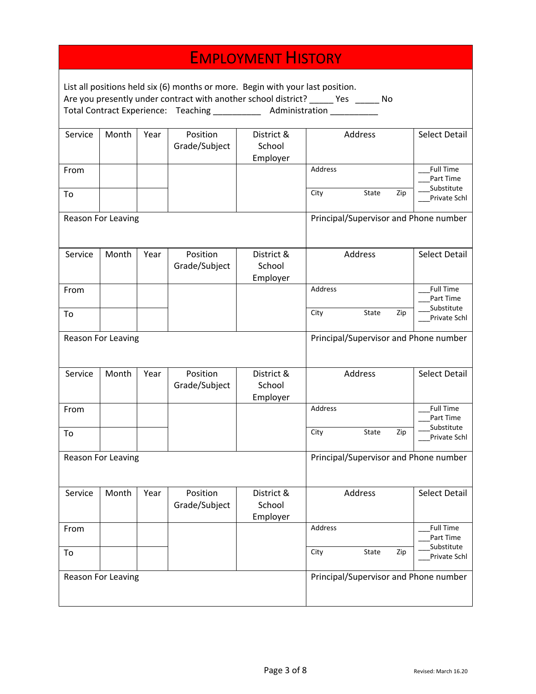|                                                                                                                                                                                                                                                    |                           |      |                           | <b>EMPLOYMENT HISTORY</b>        |                                       |         |     |                                             |
|----------------------------------------------------------------------------------------------------------------------------------------------------------------------------------------------------------------------------------------------------|---------------------------|------|---------------------------|----------------------------------|---------------------------------------|---------|-----|---------------------------------------------|
| List all positions held six (6) months or more. Begin with your last position.<br>Are you presently under contract with another school district? _____ Yes _____ No<br>Total Contract Experience: Teaching ____________ Administration ___________ |                           |      |                           |                                  |                                       |         |     |                                             |
| Service                                                                                                                                                                                                                                            | Month                     | Year | Position<br>Grade/Subject | District &<br>School<br>Employer |                                       | Address |     | <b>Select Detail</b>                        |
| From                                                                                                                                                                                                                                               |                           |      |                           |                                  | Address                               |         |     | <b>Full Time</b><br>Part Time<br>Substitute |
| To                                                                                                                                                                                                                                                 |                           |      |                           |                                  | City                                  | State   | Zip | <b>Private Schl</b>                         |
|                                                                                                                                                                                                                                                    | Reason For Leaving        |      |                           |                                  |                                       |         |     | Principal/Supervisor and Phone number       |
| Service                                                                                                                                                                                                                                            | Month                     | Year | Position<br>Grade/Subject | District &<br>School<br>Employer |                                       | Address |     | <b>Select Detail</b>                        |
| From                                                                                                                                                                                                                                               |                           |      |                           |                                  | Address                               |         |     | <b>Full Time</b><br>Part Time               |
| To                                                                                                                                                                                                                                                 |                           |      |                           |                                  | City                                  | State   | Zip | Substitute<br>Private Schl                  |
|                                                                                                                                                                                                                                                    | Reason For Leaving        |      |                           |                                  | Principal/Supervisor and Phone number |         |     |                                             |
| Service                                                                                                                                                                                                                                            | Month                     | Year | Position<br>Grade/Subject | District &<br>School<br>Employer |                                       | Address |     | <b>Select Detail</b>                        |
| From                                                                                                                                                                                                                                               |                           |      |                           |                                  | Address                               |         |     | <b>Full Time</b><br>Part Time               |
| To                                                                                                                                                                                                                                                 |                           |      |                           |                                  | City                                  | State   | Zip | Substitute<br>Private Schl                  |
|                                                                                                                                                                                                                                                    | Reason For Leaving        |      |                           |                                  | Principal/Supervisor and Phone number |         |     |                                             |
| Service                                                                                                                                                                                                                                            | Month                     | Year | Position<br>Grade/Subject | District &<br>School<br>Employer |                                       | Address |     | <b>Select Detail</b>                        |
| From                                                                                                                                                                                                                                               |                           |      |                           |                                  | Address                               |         |     | <b>Full Time</b><br>Part Time               |
| To                                                                                                                                                                                                                                                 |                           |      |                           |                                  | City                                  | State   | Zip | Substitute<br>Private Schl                  |
|                                                                                                                                                                                                                                                    | <b>Reason For Leaving</b> |      |                           |                                  |                                       |         |     | Principal/Supervisor and Phone number       |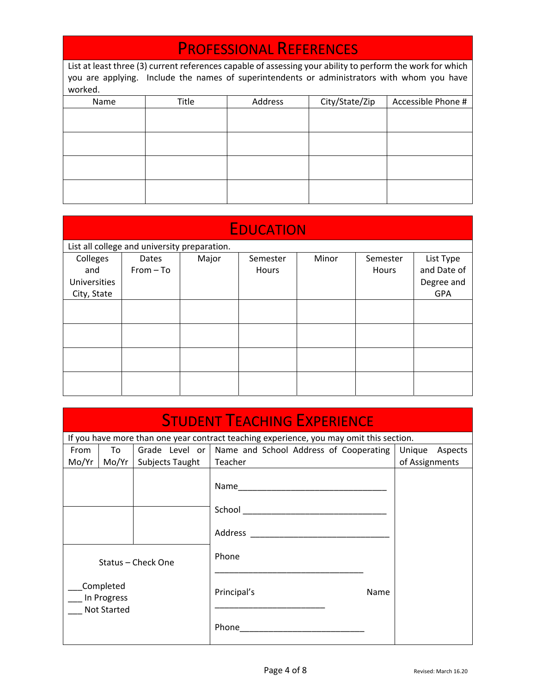# PROFESSIONAL REFERENCES

| List at least three (3) current references capable of assessing your ability to perform the work for which |       |                                                 |  |  |  |  |  |  |  |
|------------------------------------------------------------------------------------------------------------|-------|-------------------------------------------------|--|--|--|--|--|--|--|
| you are applying. Include the names of superintendents or administrators with whom you have                |       |                                                 |  |  |  |  |  |  |  |
| worked.                                                                                                    |       |                                                 |  |  |  |  |  |  |  |
| Name                                                                                                       | Title | City/State/Zip<br>Address<br>Accessible Phone # |  |  |  |  |  |  |  |
|                                                                                                            |       |                                                 |  |  |  |  |  |  |  |
|                                                                                                            |       |                                                 |  |  |  |  |  |  |  |
|                                                                                                            |       |                                                 |  |  |  |  |  |  |  |
|                                                                                                            |       |                                                 |  |  |  |  |  |  |  |
|                                                                                                            |       |                                                 |  |  |  |  |  |  |  |
|                                                                                                            |       |                                                 |  |  |  |  |  |  |  |
|                                                                                                            |       |                                                 |  |  |  |  |  |  |  |
|                                                                                                            |       |                                                 |  |  |  |  |  |  |  |

|              | <b>EDUCATION</b>                             |       |          |       |          |             |  |
|--------------|----------------------------------------------|-------|----------|-------|----------|-------------|--|
|              | List all college and university preparation. |       |          |       |          |             |  |
| Colleges     | Dates                                        | Major | Semester | Minor | Semester | List Type   |  |
| and          | $From - To$                                  |       | Hours    |       | Hours    | and Date of |  |
| Universities |                                              |       |          |       |          | Degree and  |  |
| City, State  |                                              |       |          |       |          | <b>GPA</b>  |  |
|              |                                              |       |          |       |          |             |  |
|              |                                              |       |          |       |          |             |  |
|              |                                              |       |          |       |          |             |  |
|              |                                              |       |          |       |          |             |  |
|              |                                              |       |          |       |          |             |  |
|              |                                              |       |          |       |          |             |  |
|              |                                              |       |          |       |          |             |  |
|              |                                              |       |          |       |          |             |  |

| <b>STUDENT TEACHING EXPERIENCE</b> |                                                |                    |                                                                                         |      |                |                |  |
|------------------------------------|------------------------------------------------|--------------------|-----------------------------------------------------------------------------------------|------|----------------|----------------|--|
|                                    |                                                |                    | If you have more than one year contract teaching experience, you may omit this section. |      |                |                |  |
| From                               | To                                             |                    | Grade Level or   Name and School Address of Cooperating                                 |      |                | Unique Aspects |  |
| Mo/Yr                              | Mo/Yr                                          | Subjects Taught    | Teacher                                                                                 |      | of Assignments |                |  |
|                                    |                                                |                    | Name_________                                                                           |      |                |                |  |
|                                    |                                                |                    |                                                                                         |      |                |                |  |
|                                    |                                                |                    | Address                                                                                 |      |                |                |  |
|                                    |                                                | Status - Check One | Phone                                                                                   |      |                |                |  |
|                                    | Completed<br>In Progress<br><b>Not Started</b> |                    | Principal's                                                                             | Name |                |                |  |
|                                    |                                                |                    | Phone                                                                                   |      |                |                |  |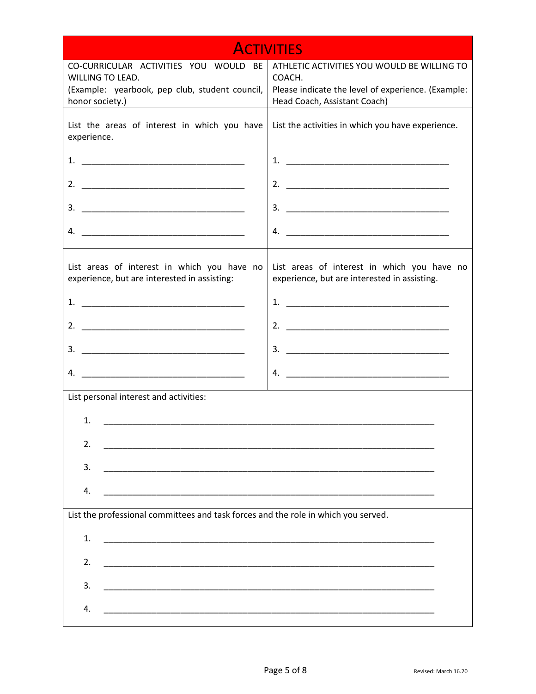|                                                                                                                                                                                                                                                                                                                        | <b>ACTIVITIES</b>                                                                           |
|------------------------------------------------------------------------------------------------------------------------------------------------------------------------------------------------------------------------------------------------------------------------------------------------------------------------|---------------------------------------------------------------------------------------------|
| CO-CURRICULAR ACTIVITIES YOU WOULD BE                                                                                                                                                                                                                                                                                  | ATHLETIC ACTIVITIES YOU WOULD BE WILLING TO                                                 |
| WILLING TO LEAD.                                                                                                                                                                                                                                                                                                       | COACH.                                                                                      |
| (Example: yearbook, pep club, student council,                                                                                                                                                                                                                                                                         | Please indicate the level of experience. (Example:                                          |
| honor society.)                                                                                                                                                                                                                                                                                                        | Head Coach, Assistant Coach)                                                                |
| List the areas of interest in which you have<br>experience.                                                                                                                                                                                                                                                            | List the activities in which you have experience.                                           |
| 1.                                                                                                                                                                                                                                                                                                                     |                                                                                             |
| 2.                                                                                                                                                                                                                                                                                                                     |                                                                                             |
| 3.                                                                                                                                                                                                                                                                                                                     |                                                                                             |
|                                                                                                                                                                                                                                                                                                                        |                                                                                             |
| List areas of interest in which you have no<br>experience, but are interested in assisting:                                                                                                                                                                                                                            | List areas of interest in which you have no<br>experience, but are interested in assisting. |
| $1.$ $\frac{1}{2}$ $\frac{1}{2}$ $\frac{1}{2}$ $\frac{1}{2}$ $\frac{1}{2}$ $\frac{1}{2}$ $\frac{1}{2}$ $\frac{1}{2}$ $\frac{1}{2}$ $\frac{1}{2}$ $\frac{1}{2}$ $\frac{1}{2}$ $\frac{1}{2}$ $\frac{1}{2}$ $\frac{1}{2}$ $\frac{1}{2}$ $\frac{1}{2}$ $\frac{1}{2}$ $\frac{1}{2}$ $\frac{1}{2}$ $\frac{1}{2}$ $\frac{1}{$ |                                                                                             |
|                                                                                                                                                                                                                                                                                                                        |                                                                                             |
| 3.                                                                                                                                                                                                                                                                                                                     |                                                                                             |
| 4.                                                                                                                                                                                                                                                                                                                     |                                                                                             |
| List personal interest and activities:                                                                                                                                                                                                                                                                                 |                                                                                             |
| 1.<br><u> 1980 - Jan Barnett, mars andrew Maria (b. 1980)</u>                                                                                                                                                                                                                                                          |                                                                                             |
| 2.                                                                                                                                                                                                                                                                                                                     |                                                                                             |
| 3.                                                                                                                                                                                                                                                                                                                     |                                                                                             |
| 4.                                                                                                                                                                                                                                                                                                                     |                                                                                             |
| List the professional committees and task forces and the role in which you served.                                                                                                                                                                                                                                     |                                                                                             |
| 1.                                                                                                                                                                                                                                                                                                                     |                                                                                             |
| 2.                                                                                                                                                                                                                                                                                                                     |                                                                                             |
| 3.                                                                                                                                                                                                                                                                                                                     |                                                                                             |
| 4.<br><u> 1980 - Jan James James James James James James James James James James James James James James James James J</u>                                                                                                                                                                                             |                                                                                             |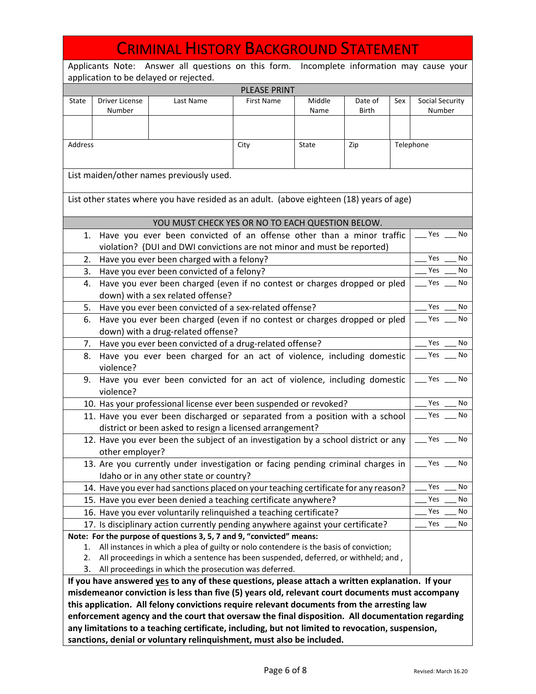|                                                                      | <b>CRIMINAL HISTORY BACKGROUND STATEMENT</b>                                                                                                                              |                                                                                                                                                                                                     |                     |                |                  |     |                           |      |
|----------------------------------------------------------------------|---------------------------------------------------------------------------------------------------------------------------------------------------------------------------|-----------------------------------------------------------------------------------------------------------------------------------------------------------------------------------------------------|---------------------|----------------|------------------|-----|---------------------------|------|
|                                                                      |                                                                                                                                                                           |                                                                                                                                                                                                     |                     |                |                  |     |                           |      |
|                                                                      | Applicants Note: Answer all questions on this form. Incomplete information may cause your<br>application to be delayed or rejected.                                       |                                                                                                                                                                                                     |                     |                |                  |     |                           |      |
|                                                                      |                                                                                                                                                                           |                                                                                                                                                                                                     | <b>PLEASE PRINT</b> |                |                  |     |                           |      |
| State                                                                | <b>Driver License</b><br>Number                                                                                                                                           | Last Name                                                                                                                                                                                           | <b>First Name</b>   | Middle<br>Name | Date of<br>Birth | Sex | Social Security<br>Number |      |
|                                                                      |                                                                                                                                                                           |                                                                                                                                                                                                     |                     |                |                  |     |                           |      |
| Address                                                              |                                                                                                                                                                           |                                                                                                                                                                                                     | City                | State          | Zip              |     | Telephone                 |      |
|                                                                      |                                                                                                                                                                           |                                                                                                                                                                                                     |                     |                |                  |     |                           |      |
|                                                                      |                                                                                                                                                                           | List maiden/other names previously used.                                                                                                                                                            |                     |                |                  |     |                           |      |
|                                                                      |                                                                                                                                                                           | List other states where you have resided as an adult. (above eighteen (18) years of age)                                                                                                            |                     |                |                  |     |                           |      |
|                                                                      |                                                                                                                                                                           |                                                                                                                                                                                                     |                     |                |                  |     |                           |      |
|                                                                      |                                                                                                                                                                           | YOU MUST CHECK YES OR NO TO EACH QUESTION BELOW.                                                                                                                                                    |                     |                |                  |     |                           |      |
| 1.                                                                   |                                                                                                                                                                           | Have you ever been convicted of an offense other than a minor traffic                                                                                                                               |                     |                |                  |     | Yes                       | - No |
|                                                                      |                                                                                                                                                                           | violation? (DUI and DWI convictions are not minor and must be reported)                                                                                                                             |                     |                |                  |     |                           |      |
| 2.                                                                   |                                                                                                                                                                           | Have you ever been charged with a felony?                                                                                                                                                           |                     |                |                  |     | Yes                       | No   |
| 3.                                                                   |                                                                                                                                                                           | Have you ever been convicted of a felony?                                                                                                                                                           |                     |                |                  |     | Yes                       | No   |
| 4.                                                                   |                                                                                                                                                                           | Have you ever been charged (even if no contest or charges dropped or pled<br>down) with a sex related offense?                                                                                      |                     |                |                  |     | Yes                       | No   |
| 5.                                                                   |                                                                                                                                                                           | Have you ever been convicted of a sex-related offense?                                                                                                                                              |                     |                |                  |     | Yes                       | No   |
| 6.                                                                   |                                                                                                                                                                           | Have you ever been charged (even if no contest or charges dropped or pled                                                                                                                           |                     |                |                  |     | Yes                       | No   |
|                                                                      |                                                                                                                                                                           | down) with a drug-related offense?                                                                                                                                                                  |                     |                |                  |     |                           |      |
| Yes<br>Have you ever been convicted of a drug-related offense?<br>7. |                                                                                                                                                                           |                                                                                                                                                                                                     |                     |                |                  |     | No                        |      |
|                                                                      | Yes<br>Have you ever been charged for an act of violence, including domestic<br>8.<br>violence?                                                                           |                                                                                                                                                                                                     |                     |                |                  |     | No                        |      |
| 9.                                                                   |                                                                                                                                                                           | Have you ever been convicted for an act of violence, including domestic                                                                                                                             |                     |                |                  |     | Yes                       | No   |
|                                                                      | violence?                                                                                                                                                                 | 10. Has your professional license ever been suspended or revoked?                                                                                                                                   |                     |                |                  |     | Yes                       | No   |
|                                                                      |                                                                                                                                                                           | 11. Have you ever been discharged or separated from a position with a school                                                                                                                        |                     |                |                  |     | Yes                       | No   |
|                                                                      |                                                                                                                                                                           | district or been asked to resign a licensed arrangement?                                                                                                                                            |                     |                |                  |     |                           |      |
|                                                                      |                                                                                                                                                                           | 12. Have you ever been the subject of an investigation by a school district or any                                                                                                                  |                     |                |                  |     | $Yes$ No                  |      |
|                                                                      | other employer?                                                                                                                                                           |                                                                                                                                                                                                     |                     |                |                  |     |                           |      |
|                                                                      |                                                                                                                                                                           | 13. Are you currently under investigation or facing pending criminal charges in                                                                                                                     |                     |                |                  |     | Yes                       | No   |
|                                                                      |                                                                                                                                                                           | Idaho or in any other state or country?                                                                                                                                                             |                     |                |                  |     |                           |      |
|                                                                      |                                                                                                                                                                           | 14. Have you ever had sanctions placed on your teaching certificate for any reason?                                                                                                                 |                     |                |                  |     | Yes                       | No   |
|                                                                      |                                                                                                                                                                           | 15. Have you ever been denied a teaching certificate anywhere?                                                                                                                                      |                     |                |                  |     | Yes                       | No   |
|                                                                      |                                                                                                                                                                           | 16. Have you ever voluntarily relinquished a teaching certificate?                                                                                                                                  |                     |                |                  |     | Yes                       | No   |
|                                                                      |                                                                                                                                                                           | 17. Is disciplinary action currently pending anywhere against your certificate?                                                                                                                     |                     |                |                  |     | Yes                       | No   |
|                                                                      |                                                                                                                                                                           | Note: For the purpose of questions 3, 5, 7 and 9, "convicted" means:                                                                                                                                |                     |                |                  |     |                           |      |
| 1.                                                                   |                                                                                                                                                                           | All instances in which a plea of guilty or nolo contendere is the basis of conviction;                                                                                                              |                     |                |                  |     |                           |      |
| 2.                                                                   |                                                                                                                                                                           | All proceedings in which a sentence has been suspended, deferred, or withheld; and,                                                                                                                 |                     |                |                  |     |                           |      |
| 3.                                                                   |                                                                                                                                                                           | All proceedings in which the prosecution was deferred.                                                                                                                                              |                     |                |                  |     |                           |      |
|                                                                      |                                                                                                                                                                           | If you have answered yes to any of these questions, please attach a written explanation. If your<br>misdemeanor conviction is less than five (5) years old, relevant court documents must accompany |                     |                |                  |     |                           |      |
|                                                                      |                                                                                                                                                                           | this application. All felony convictions require relevant documents from the arresting law                                                                                                          |                     |                |                  |     |                           |      |
|                                                                      |                                                                                                                                                                           | enforcement agency and the court that oversaw the final disposition. All documentation regarding                                                                                                    |                     |                |                  |     |                           |      |
|                                                                      |                                                                                                                                                                           |                                                                                                                                                                                                     |                     |                |                  |     |                           |      |
|                                                                      | any limitations to a teaching certificate, including, but not limited to revocation, suspension,<br>sanctions, denial or voluntary relinquishment, must also be included. |                                                                                                                                                                                                     |                     |                |                  |     |                           |      |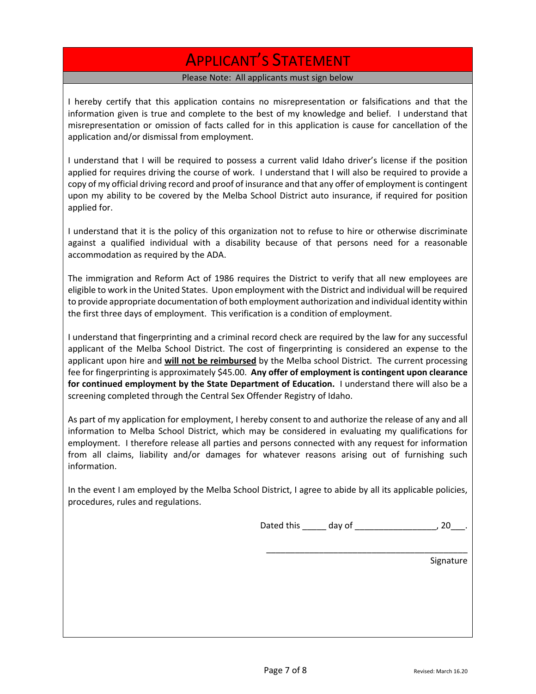## APPLICANT'S STATEMENT

### Please Note: All applicants must sign below

I hereby certify that this application contains no misrepresentation or falsifications and that the information given is true and complete to the best of my knowledge and belief. I understand that misrepresentation or omission of facts called for in this application is cause for cancellation of the application and/or dismissal from employment.

I understand that I will be required to possess a current valid Idaho driver's license if the position applied for requires driving the course of work. I understand that I will also be required to provide a copy of my official driving record and proof of insurance and that any offer of employment is contingent upon my ability to be covered by the Melba School District auto insurance, if required for position applied for.

I understand that it is the policy of this organization not to refuse to hire or otherwise discriminate against a qualified individual with a disability because of that persons need for a reasonable accommodation as required by the ADA.

The immigration and Reform Act of 1986 requires the District to verify that all new employees are eligible to work in the United States. Upon employment with the District and individual will be required to provide appropriate documentation of both employment authorization and individual identity within the first three days of employment. This verification is a condition of employment.

I understand that fingerprinting and a criminal record check are required by the law for any successful applicant of the Melba School District. The cost of fingerprinting is considered an expense to the applicant upon hire and **will not be reimbursed** by the Melba school District. The current processing fee for fingerprinting is approximately \$45.00. **Any offer of employment is contingent upon clearance for continued employment by the State Department of Education.** I understand there will also be a screening completed through the Central Sex Offender Registry of Idaho.

As part of my application for employment, I hereby consent to and authorize the release of any and all information to Melba School District, which may be considered in evaluating my qualifications for employment. I therefore release all parties and persons connected with any request for information from all claims, liability and/or damages for whatever reasons arising out of furnishing such information.

In the event I am employed by the Melba School District, I agree to abide by all its applicable policies, procedures, rules and regulations.

Dated this \_\_\_\_\_ day of \_\_\_\_\_\_\_\_\_\_\_\_\_\_\_\_\_\_\_\_\_, 20\_\_\_.

\_\_\_\_\_\_\_\_\_\_\_\_\_\_\_\_\_\_\_\_\_\_\_\_\_\_\_\_\_\_\_\_\_\_\_\_\_\_\_\_\_\_

Signature